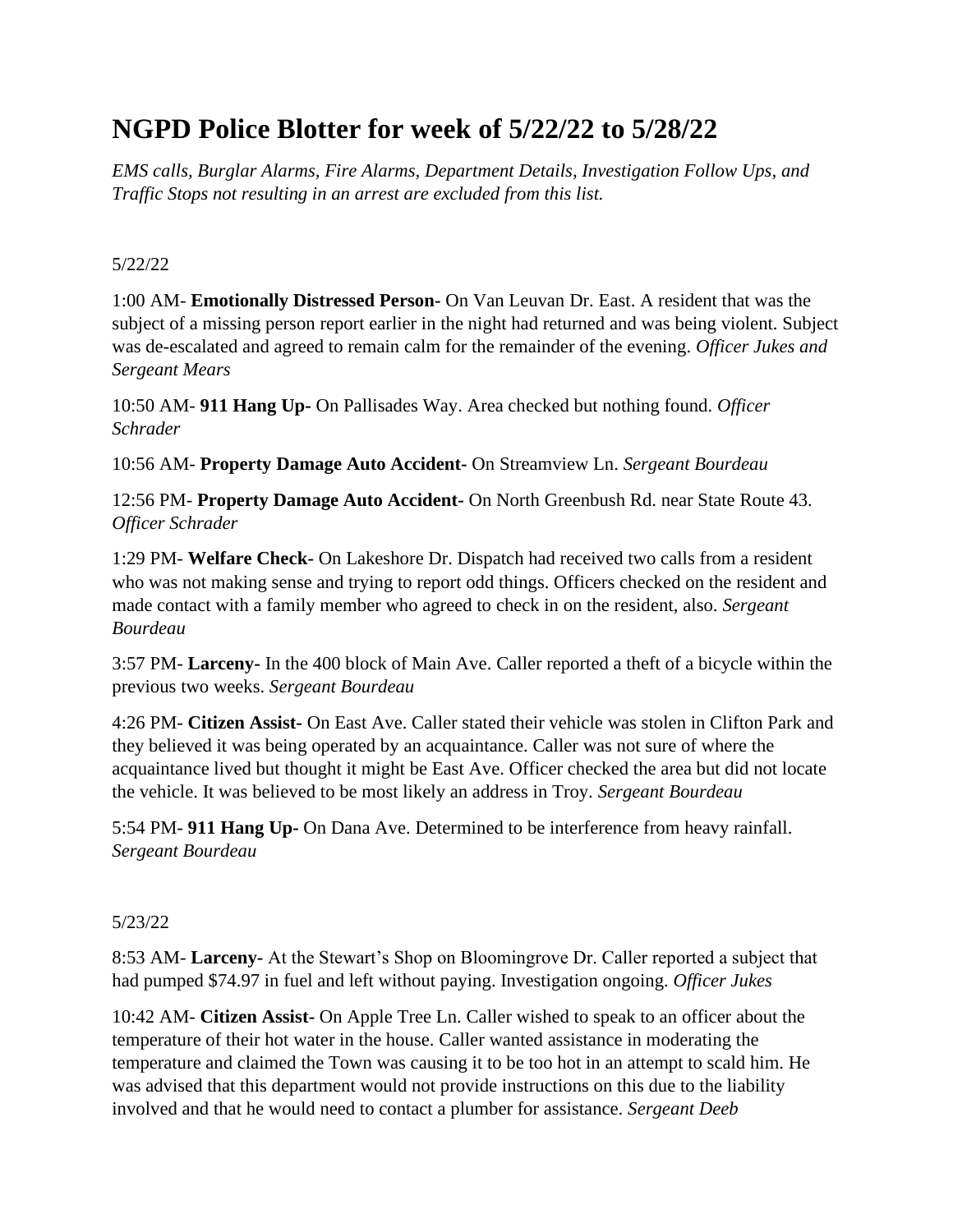# **NGPD Police Blotter for week of 5/22/22 to 5/28/22**

*EMS calls, Burglar Alarms, Fire Alarms, Department Details, Investigation Follow Ups, and Traffic Stops not resulting in an arrest are excluded from this list.*

### 5/22/22

1:00 AM- **Emotionally Distressed Person-** On Van Leuvan Dr. East. A resident that was the subject of a missing person report earlier in the night had returned and was being violent. Subject was de-escalated and agreed to remain calm for the remainder of the evening. *Officer Jukes and Sergeant Mears*

10:50 AM- **911 Hang Up-** On Pallisades Way. Area checked but nothing found. *Officer Schrader*

10:56 AM- **Property Damage Auto Accident-** On Streamview Ln. *Sergeant Bourdeau*

12:56 PM- **Property Damage Auto Accident-** On North Greenbush Rd. near State Route 43. *Officer Schrader*

1:29 PM- **Welfare Check-** On Lakeshore Dr. Dispatch had received two calls from a resident who was not making sense and trying to report odd things. Officers checked on the resident and made contact with a family member who agreed to check in on the resident, also. *Sergeant Bourdeau*

3:57 PM- **Larceny-** In the 400 block of Main Ave. Caller reported a theft of a bicycle within the previous two weeks. *Sergeant Bourdeau*

4:26 PM- **Citizen Assist-** On East Ave. Caller stated their vehicle was stolen in Clifton Park and they believed it was being operated by an acquaintance. Caller was not sure of where the acquaintance lived but thought it might be East Ave. Officer checked the area but did not locate the vehicle. It was believed to be most likely an address in Troy. *Sergeant Bourdeau*

5:54 PM- **911 Hang Up-** On Dana Ave. Determined to be interference from heavy rainfall. *Sergeant Bourdeau*

# 5/23/22

8:53 AM- **Larceny-** At the Stewart's Shop on Bloomingrove Dr. Caller reported a subject that had pumped \$74.97 in fuel and left without paying. Investigation ongoing. *Officer Jukes*

10:42 AM- **Citizen Assist-** On Apple Tree Ln. Caller wished to speak to an officer about the temperature of their hot water in the house. Caller wanted assistance in moderating the temperature and claimed the Town was causing it to be too hot in an attempt to scald him. He was advised that this department would not provide instructions on this due to the liability involved and that he would need to contact a plumber for assistance. *Sergeant Deeb*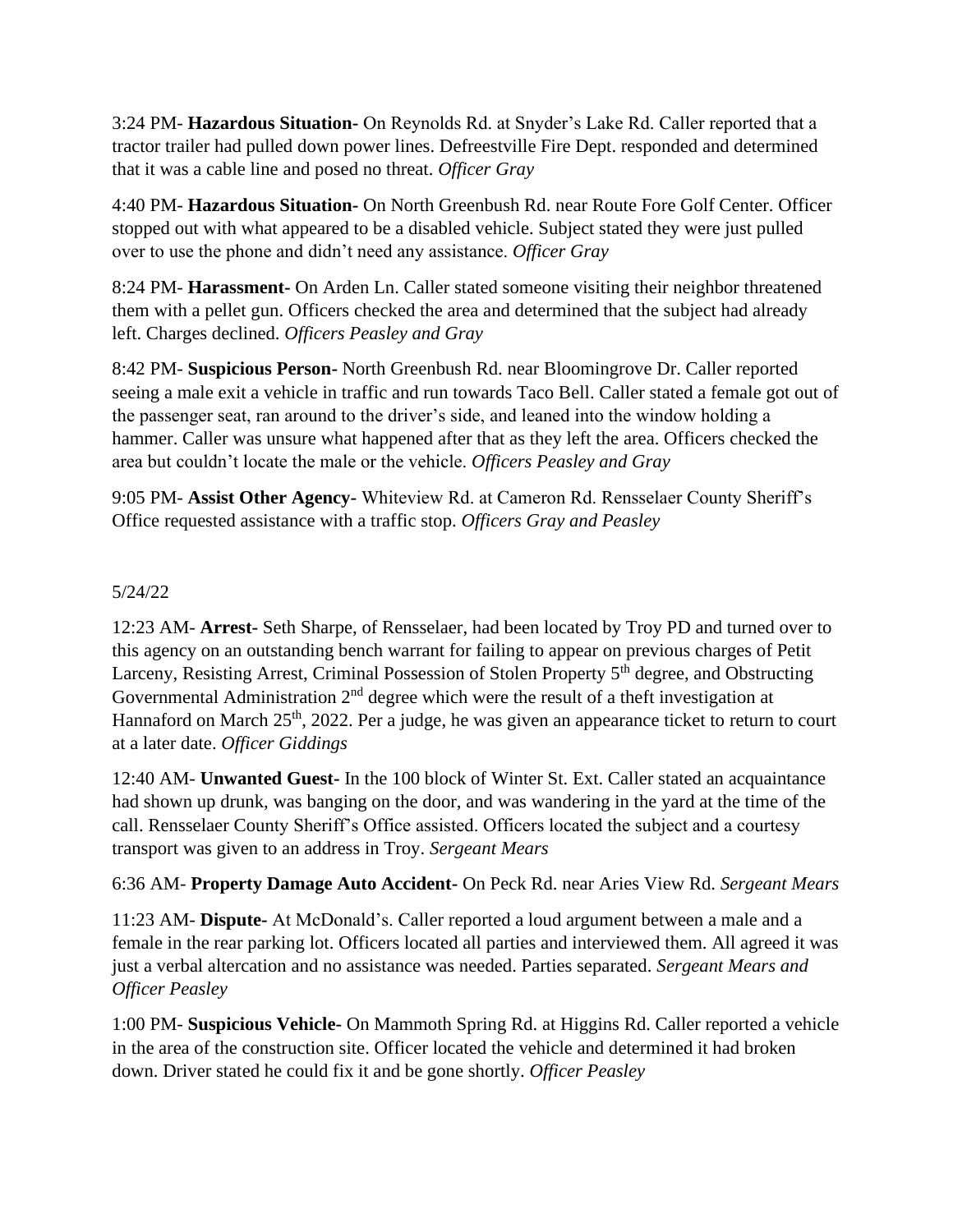3:24 PM- **Hazardous Situation-** On Reynolds Rd. at Snyder's Lake Rd. Caller reported that a tractor trailer had pulled down power lines. Defreestville Fire Dept. responded and determined that it was a cable line and posed no threat. *Officer Gray*

4:40 PM- **Hazardous Situation-** On North Greenbush Rd. near Route Fore Golf Center. Officer stopped out with what appeared to be a disabled vehicle. Subject stated they were just pulled over to use the phone and didn't need any assistance. *Officer Gray*

8:24 PM- **Harassment-** On Arden Ln. Caller stated someone visiting their neighbor threatened them with a pellet gun. Officers checked the area and determined that the subject had already left. Charges declined. *Officers Peasley and Gray*

8:42 PM- **Suspicious Person-** North Greenbush Rd. near Bloomingrove Dr. Caller reported seeing a male exit a vehicle in traffic and run towards Taco Bell. Caller stated a female got out of the passenger seat, ran around to the driver's side, and leaned into the window holding a hammer. Caller was unsure what happened after that as they left the area. Officers checked the area but couldn't locate the male or the vehicle. *Officers Peasley and Gray*

9:05 PM- **Assist Other Agency-** Whiteview Rd. at Cameron Rd. Rensselaer County Sheriff's Office requested assistance with a traffic stop. *Officers Gray and Peasley*

### 5/24/22

12:23 AM- **Arrest-** Seth Sharpe, of Rensselaer, had been located by Troy PD and turned over to this agency on an outstanding bench warrant for failing to appear on previous charges of Petit Larceny, Resisting Arrest, Criminal Possession of Stolen Property 5<sup>th</sup> degree, and Obstructing Governmental Administration  $2<sup>nd</sup>$  degree which were the result of a theft investigation at Hannaford on March 25<sup>th</sup>, 2022. Per a judge, he was given an appearance ticket to return to court at a later date. *Officer Giddings*

12:40 AM- **Unwanted Guest-** In the 100 block of Winter St. Ext. Caller stated an acquaintance had shown up drunk, was banging on the door, and was wandering in the yard at the time of the call. Rensselaer County Sheriff's Office assisted. Officers located the subject and a courtesy transport was given to an address in Troy. *Sergeant Mears*

6:36 AM- **Property Damage Auto Accident-** On Peck Rd. near Aries View Rd. *Sergeant Mears*

11:23 AM- **Dispute-** At McDonald's. Caller reported a loud argument between a male and a female in the rear parking lot. Officers located all parties and interviewed them. All agreed it was just a verbal altercation and no assistance was needed. Parties separated. *Sergeant Mears and Officer Peasley*

1:00 PM- **Suspicious Vehicle-** On Mammoth Spring Rd. at Higgins Rd. Caller reported a vehicle in the area of the construction site. Officer located the vehicle and determined it had broken down. Driver stated he could fix it and be gone shortly. *Officer Peasley*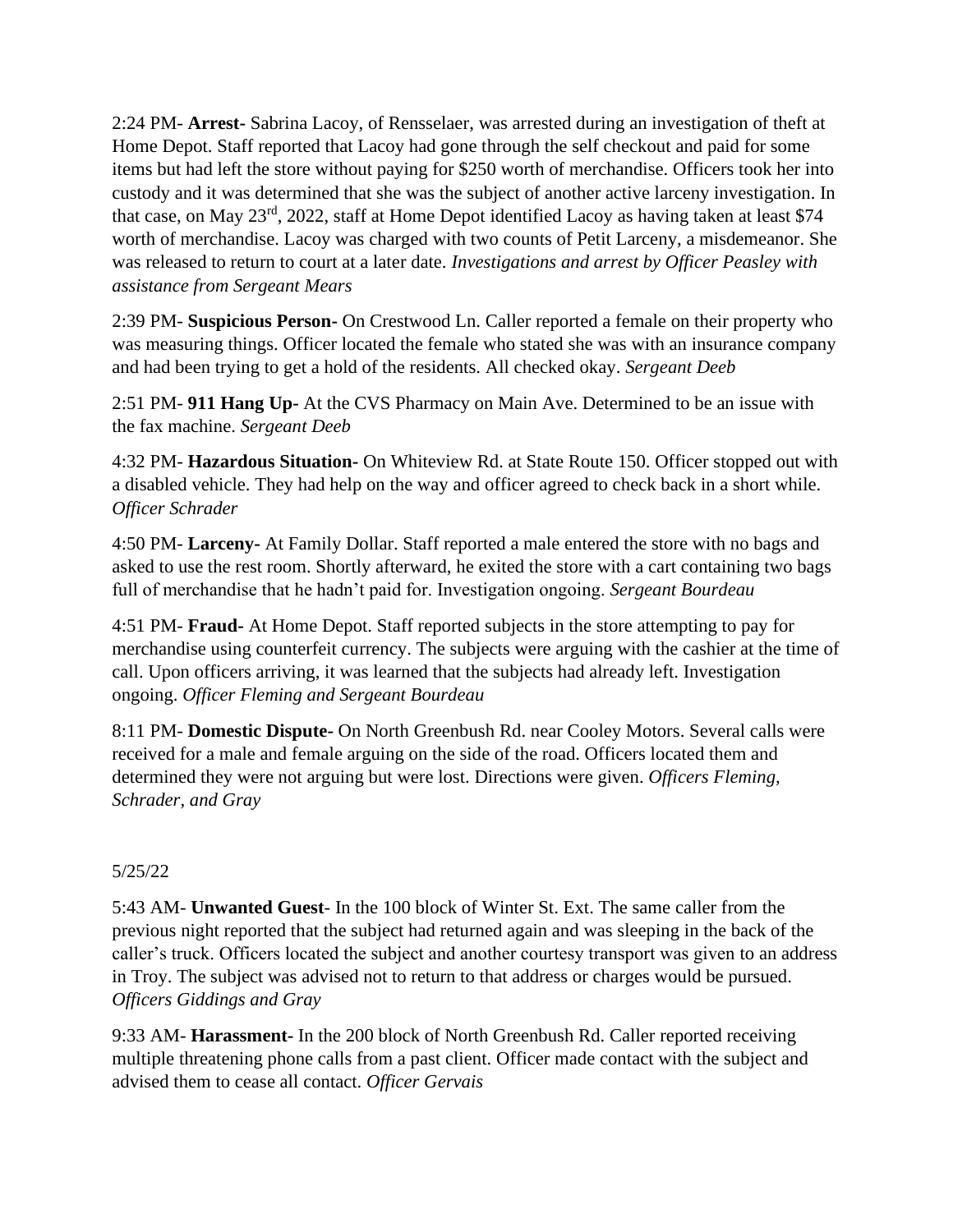2:24 PM- **Arrest-** Sabrina Lacoy, of Rensselaer, was arrested during an investigation of theft at Home Depot. Staff reported that Lacoy had gone through the self checkout and paid for some items but had left the store without paying for \$250 worth of merchandise. Officers took her into custody and it was determined that she was the subject of another active larceny investigation. In that case, on May 23rd, 2022, staff at Home Depot identified Lacoy as having taken at least \$74 worth of merchandise. Lacoy was charged with two counts of Petit Larceny, a misdemeanor. She was released to return to court at a later date. *Investigations and arrest by Officer Peasley with assistance from Sergeant Mears*

2:39 PM- **Suspicious Person-** On Crestwood Ln. Caller reported a female on their property who was measuring things. Officer located the female who stated she was with an insurance company and had been trying to get a hold of the residents. All checked okay. *Sergeant Deeb*

2:51 PM- **911 Hang Up-** At the CVS Pharmacy on Main Ave. Determined to be an issue with the fax machine. *Sergeant Deeb*

4:32 PM- **Hazardous Situation-** On Whiteview Rd. at State Route 150. Officer stopped out with a disabled vehicle. They had help on the way and officer agreed to check back in a short while. *Officer Schrader*

4:50 PM- **Larceny-** At Family Dollar. Staff reported a male entered the store with no bags and asked to use the rest room. Shortly afterward, he exited the store with a cart containing two bags full of merchandise that he hadn't paid for. Investigation ongoing. *Sergeant Bourdeau*

4:51 PM- **Fraud-** At Home Depot. Staff reported subjects in the store attempting to pay for merchandise using counterfeit currency. The subjects were arguing with the cashier at the time of call. Upon officers arriving, it was learned that the subjects had already left. Investigation ongoing. *Officer Fleming and Sergeant Bourdeau*

8:11 PM- **Domestic Dispute-** On North Greenbush Rd. near Cooley Motors. Several calls were received for a male and female arguing on the side of the road. Officers located them and determined they were not arguing but were lost. Directions were given. *Officers Fleming, Schrader, and Gray*

# 5/25/22

5:43 AM- **Unwanted Guest**- In the 100 block of Winter St. Ext. The same caller from the previous night reported that the subject had returned again and was sleeping in the back of the caller's truck. Officers located the subject and another courtesy transport was given to an address in Troy. The subject was advised not to return to that address or charges would be pursued. *Officers Giddings and Gray*

9:33 AM- **Harassment-** In the 200 block of North Greenbush Rd. Caller reported receiving multiple threatening phone calls from a past client. Officer made contact with the subject and advised them to cease all contact. *Officer Gervais*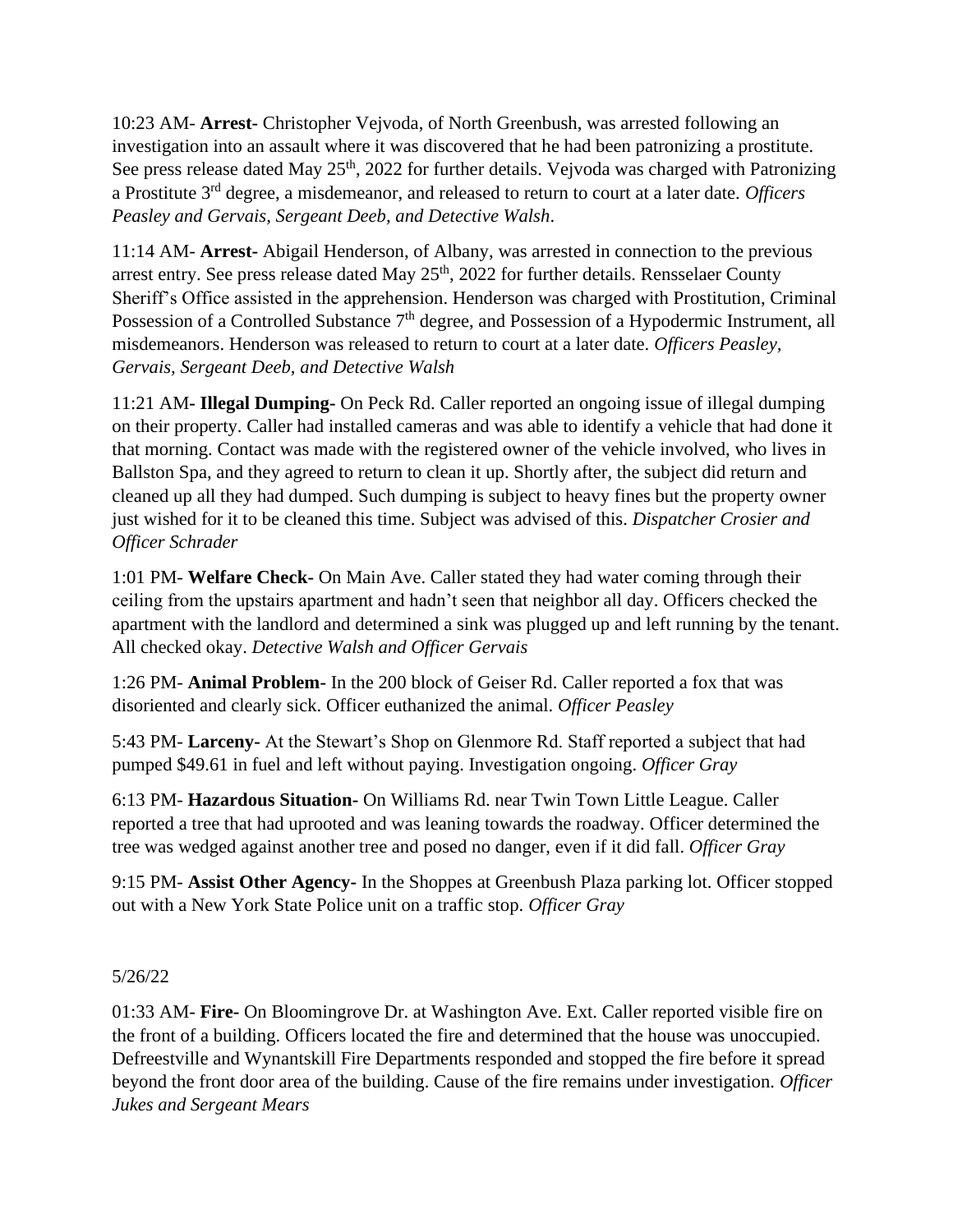10:23 AM- **Arrest-** Christopher Vejvoda, of North Greenbush, was arrested following an investigation into an assault where it was discovered that he had been patronizing a prostitute. See press release dated May 25<sup>th</sup>, 2022 for further details. Vejvoda was charged with Patronizing a Prostitute 3rd degree, a misdemeanor, and released to return to court at a later date. *Officers Peasley and Gervais, Sergeant Deeb, and Detective Walsh*.

11:14 AM- **Arrest-** Abigail Henderson, of Albany, was arrested in connection to the previous arrest entry. See press release dated May  $25<sup>th</sup>$ , 2022 for further details. Rensselaer County Sheriff's Office assisted in the apprehension. Henderson was charged with Prostitution, Criminal Possession of a Controlled Substance 7<sup>th</sup> degree, and Possession of a Hypodermic Instrument, all misdemeanors. Henderson was released to return to court at a later date. *Officers Peasley, Gervais, Sergeant Deeb, and Detective Walsh*

11:21 AM**- Illegal Dumping-** On Peck Rd. Caller reported an ongoing issue of illegal dumping on their property. Caller had installed cameras and was able to identify a vehicle that had done it that morning. Contact was made with the registered owner of the vehicle involved, who lives in Ballston Spa, and they agreed to return to clean it up. Shortly after, the subject did return and cleaned up all they had dumped. Such dumping is subject to heavy fines but the property owner just wished for it to be cleaned this time. Subject was advised of this. *Dispatcher Crosier and Officer Schrader*

1:01 PM- **Welfare Check-** On Main Ave. Caller stated they had water coming through their ceiling from the upstairs apartment and hadn't seen that neighbor all day. Officers checked the apartment with the landlord and determined a sink was plugged up and left running by the tenant. All checked okay. *Detective Walsh and Officer Gervais*

1:26 PM- **Animal Problem-** In the 200 block of Geiser Rd. Caller reported a fox that was disoriented and clearly sick. Officer euthanized the animal. *Officer Peasley*

5:43 PM- **Larceny-** At the Stewart's Shop on Glenmore Rd. Staff reported a subject that had pumped \$49.61 in fuel and left without paying. Investigation ongoing. *Officer Gray*

6:13 PM- **Hazardous Situation-** On Williams Rd. near Twin Town Little League. Caller reported a tree that had uprooted and was leaning towards the roadway. Officer determined the tree was wedged against another tree and posed no danger, even if it did fall. *Officer Gray*

9:15 PM- **Assist Other Agency-** In the Shoppes at Greenbush Plaza parking lot. Officer stopped out with a New York State Police unit on a traffic stop. *Officer Gray*

#### 5/26/22

01:33 AM- **Fire-** On Bloomingrove Dr. at Washington Ave. Ext. Caller reported visible fire on the front of a building. Officers located the fire and determined that the house was unoccupied. Defreestville and Wynantskill Fire Departments responded and stopped the fire before it spread beyond the front door area of the building. Cause of the fire remains under investigation. *Officer Jukes and Sergeant Mears*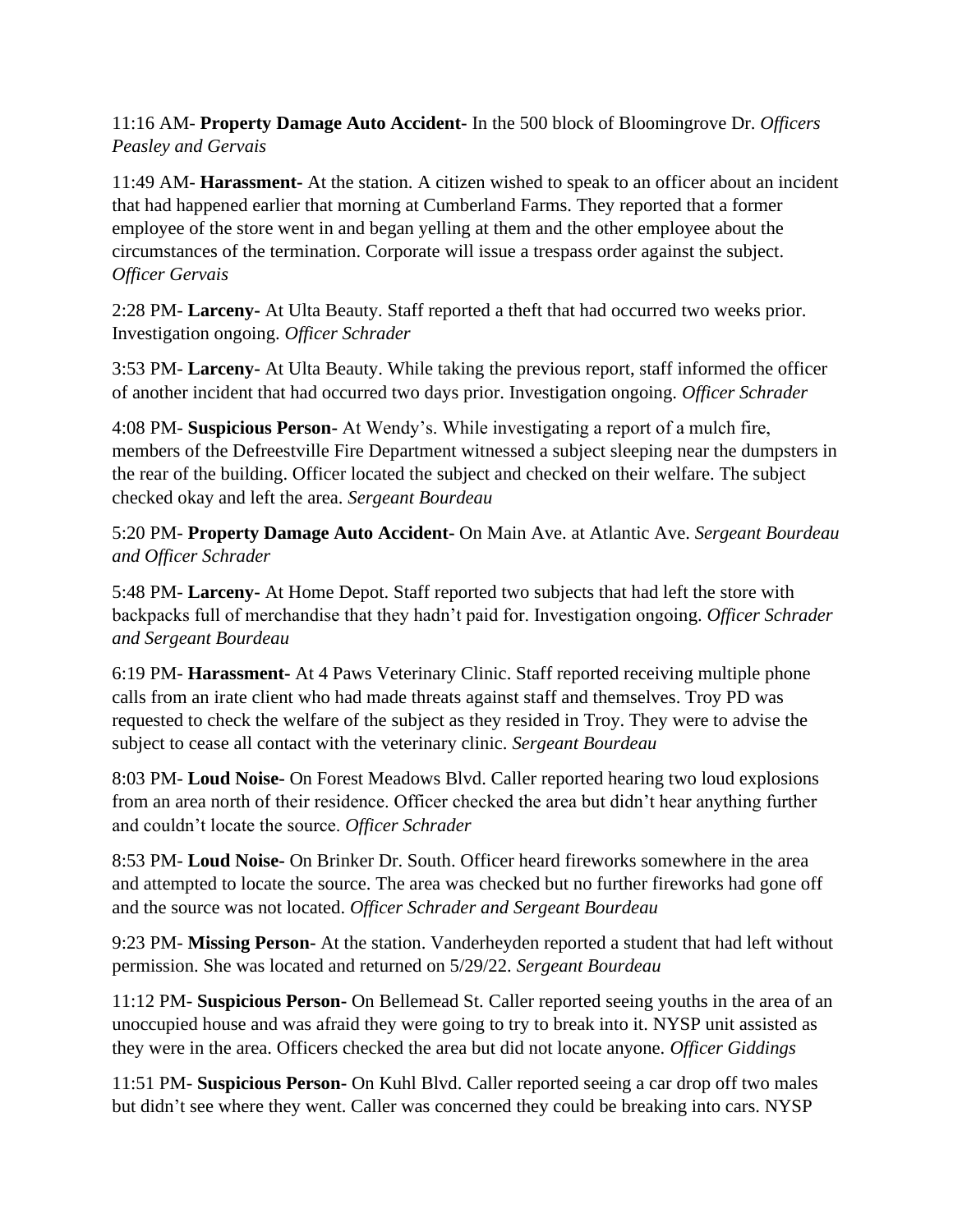11:16 AM- **Property Damage Auto Accident-** In the 500 block of Bloomingrove Dr. *Officers Peasley and Gervais*

11:49 AM- **Harassment-** At the station. A citizen wished to speak to an officer about an incident that had happened earlier that morning at Cumberland Farms. They reported that a former employee of the store went in and began yelling at them and the other employee about the circumstances of the termination. Corporate will issue a trespass order against the subject. *Officer Gervais*

2:28 PM- **Larceny-** At Ulta Beauty. Staff reported a theft that had occurred two weeks prior. Investigation ongoing. *Officer Schrader*

3:53 PM- **Larceny-** At Ulta Beauty. While taking the previous report, staff informed the officer of another incident that had occurred two days prior. Investigation ongoing. *Officer Schrader*

4:08 PM- **Suspicious Person-** At Wendy's. While investigating a report of a mulch fire, members of the Defreestville Fire Department witnessed a subject sleeping near the dumpsters in the rear of the building. Officer located the subject and checked on their welfare. The subject checked okay and left the area. *Sergeant Bourdeau*

5:20 PM- **Property Damage Auto Accident-** On Main Ave. at Atlantic Ave. *Sergeant Bourdeau and Officer Schrader*

5:48 PM- **Larceny-** At Home Depot. Staff reported two subjects that had left the store with backpacks full of merchandise that they hadn't paid for. Investigation ongoing. *Officer Schrader and Sergeant Bourdeau*

6:19 PM- **Harassment-** At 4 Paws Veterinary Clinic. Staff reported receiving multiple phone calls from an irate client who had made threats against staff and themselves. Troy PD was requested to check the welfare of the subject as they resided in Troy. They were to advise the subject to cease all contact with the veterinary clinic. *Sergeant Bourdeau*

8:03 PM- **Loud Noise-** On Forest Meadows Blvd. Caller reported hearing two loud explosions from an area north of their residence. Officer checked the area but didn't hear anything further and couldn't locate the source. *Officer Schrader*

8:53 PM- **Loud Noise-** On Brinker Dr. South. Officer heard fireworks somewhere in the area and attempted to locate the source. The area was checked but no further fireworks had gone off and the source was not located. *Officer Schrader and Sergeant Bourdeau*

9:23 PM- **Missing Person-** At the station. Vanderheyden reported a student that had left without permission. She was located and returned on 5/29/22. *Sergeant Bourdeau*

11:12 PM- **Suspicious Person-** On Bellemead St. Caller reported seeing youths in the area of an unoccupied house and was afraid they were going to try to break into it. NYSP unit assisted as they were in the area. Officers checked the area but did not locate anyone. *Officer Giddings*

11:51 PM- **Suspicious Person-** On Kuhl Blvd. Caller reported seeing a car drop off two males but didn't see where they went. Caller was concerned they could be breaking into cars. NYSP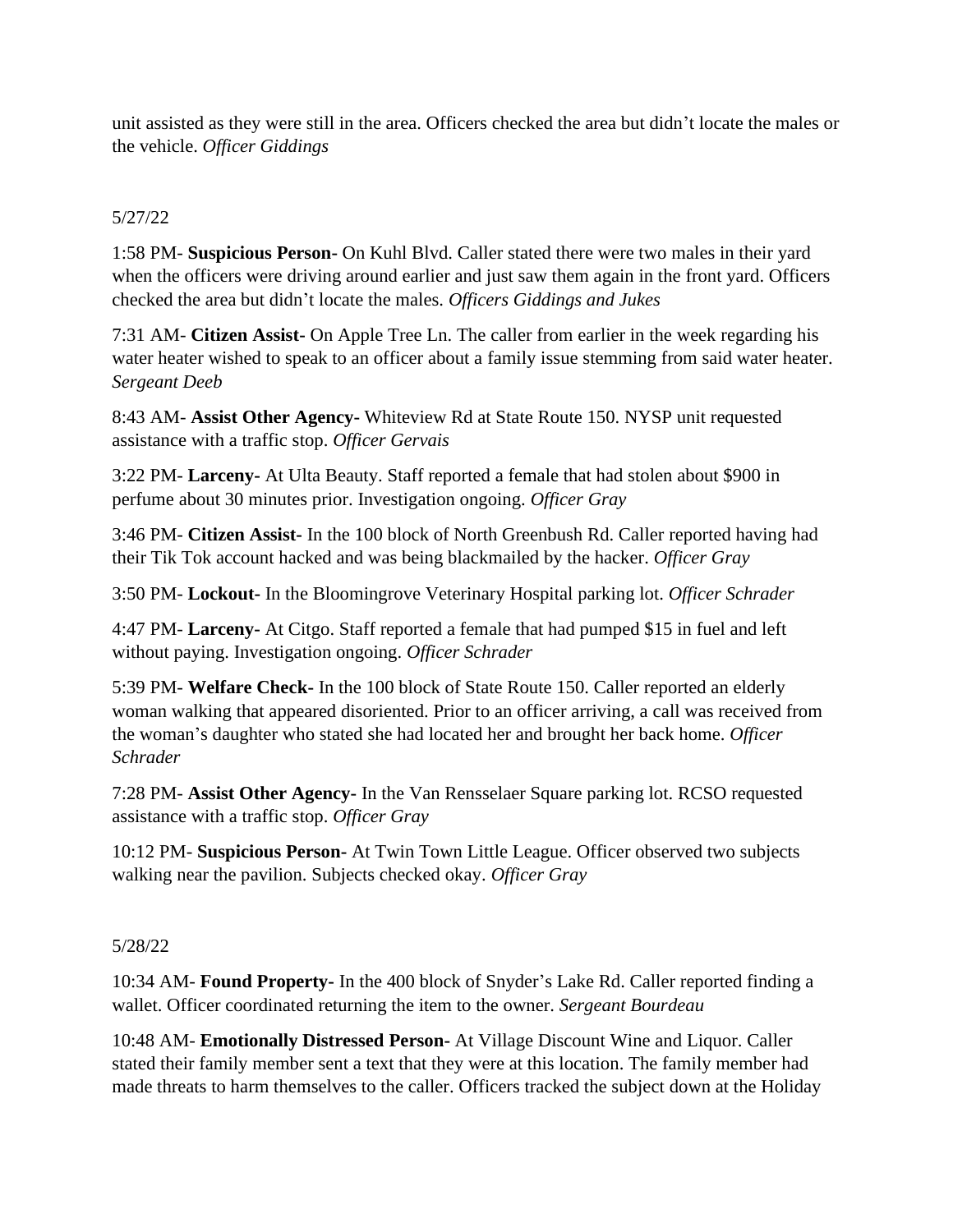unit assisted as they were still in the area. Officers checked the area but didn't locate the males or the vehicle. *Officer Giddings*

## 5/27/22

1:58 PM- **Suspicious Person-** On Kuhl Blvd. Caller stated there were two males in their yard when the officers were driving around earlier and just saw them again in the front yard. Officers checked the area but didn't locate the males. *Officers Giddings and Jukes*

7:31 AM- **Citizen Assist-** On Apple Tree Ln. The caller from earlier in the week regarding his water heater wished to speak to an officer about a family issue stemming from said water heater. *Sergeant Deeb*

8:43 AM- **Assist Other Agency-** Whiteview Rd at State Route 150. NYSP unit requested assistance with a traffic stop. *Officer Gervais*

3:22 PM- **Larceny-** At Ulta Beauty. Staff reported a female that had stolen about \$900 in perfume about 30 minutes prior. Investigation ongoing. *Officer Gray*

3:46 PM- **Citizen Assist-** In the 100 block of North Greenbush Rd. Caller reported having had their Tik Tok account hacked and was being blackmailed by the hacker. *Officer Gray*

3:50 PM- **Lockout-** In the Bloomingrove Veterinary Hospital parking lot. *Officer Schrader*

4:47 PM- **Larceny-** At Citgo. Staff reported a female that had pumped \$15 in fuel and left without paying. Investigation ongoing. *Officer Schrader*

5:39 PM- **Welfare Check-** In the 100 block of State Route 150. Caller reported an elderly woman walking that appeared disoriented. Prior to an officer arriving, a call was received from the woman's daughter who stated she had located her and brought her back home. *Officer Schrader*

7:28 PM- **Assist Other Agency-** In the Van Rensselaer Square parking lot. RCSO requested assistance with a traffic stop. *Officer Gray*

10:12 PM- **Suspicious Person-** At Twin Town Little League. Officer observed two subjects walking near the pavilion. Subjects checked okay. *Officer Gray*

#### 5/28/22

10:34 AM- **Found Property-** In the 400 block of Snyder's Lake Rd. Caller reported finding a wallet. Officer coordinated returning the item to the owner. *Sergeant Bourdeau*

10:48 AM- **Emotionally Distressed Person-** At Village Discount Wine and Liquor. Caller stated their family member sent a text that they were at this location. The family member had made threats to harm themselves to the caller. Officers tracked the subject down at the Holiday